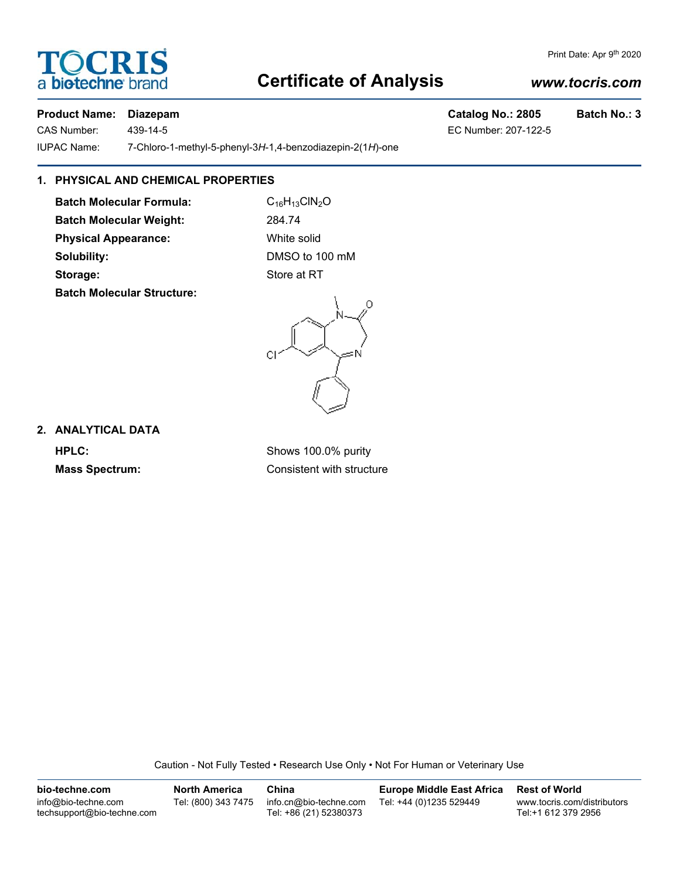# **TOCRIS** a **biotechne** bi

# **Certificate of Analysis**

### *www.tocris.com*

#### **Product Name: Diazepam Catalog No.: 2805 Batch No.: 3**

IUPAC Name: 7-Chloro-1-methyl-5-phenyl-3*H*-1,4-benzodiazepin-2(1*H*)-one

#### **1. PHYSICAL AND CHEMICAL PROPERTIES**

**Batch Molecular Formula:** C<sub>16</sub>H<sub>13</sub>ClN<sub>2</sub>O **Batch Molecular Weight:** 284.74 **Physical Appearance:** White solid **Solubility:** DMSO to 100 mM **Storage:** Store at RT

**Batch Molecular Structure:**



**2. ANALYTICAL DATA**

**HPLC:** Shows 100.0% purity **Mass Spectrum:** Consistent with structure

Caution - Not Fully Tested • Research Use Only • Not For Human or Veterinary Use

**bio-techne.com** info@bio-techne.com techsupport@bio-techne.com **North America** Tel: (800) 343 7475 **China** info.cn@bio-techne.com Tel: +86 (21) 52380373 **Europe Middle East Africa** Tel: +44 (0)1235 529449 **Rest of World** www.tocris.com/distributors Tel:+1 612 379 2956

Print Date: Apr 9th 2020

CAS Number: 439-14-5 EC Number: 207-122-5